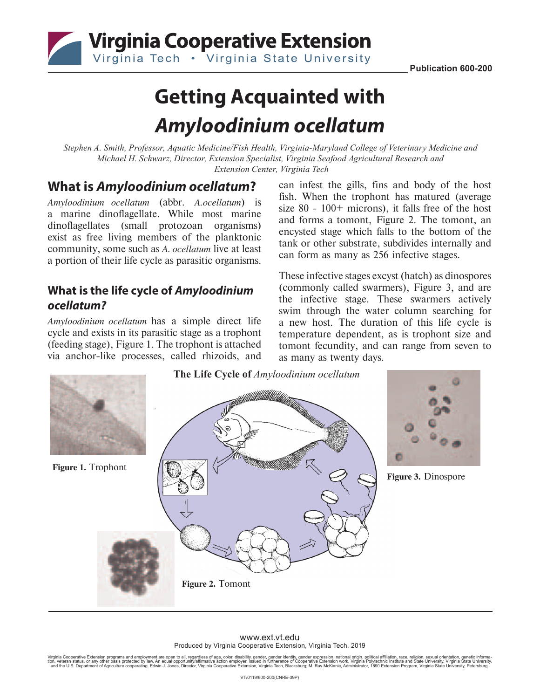

# **Getting Acquainted with**  *Amyloodinium ocellatum*

*Stephen A. Smith, Professor, Aquatic Medicine/Fish Health, Virginia-Maryland College of Veterinary Medicine and Michael H. Schwarz, Director, Extension Specialist, Virginia Seafood Agricultural Research and Extension Center, Virginia Tech*

## **What is** *Amyloodinium ocellatum***?**

*Amyloodinium ocellatum* (abbr. *A.ocellatum*) is a marine dinoflagellate. While most marine dinoflagellates (small protozoan organisms) exist as free living members of the planktonic community, some such as *A. ocellatum* live at least a portion of their life cycle as parasitic organisms.

### **What is the life cycle of** *Amyloodinium ocellatum?*

*Amyloodinium ocellatum* has a simple direct life cycle and exists in its parasitic stage as a trophont (feeding stage), Figure 1. The trophont is attached via anchor-like processes, called rhizoids, and can infest the gills, fins and body of the host fish. When the trophont has matured (average size 80 - 100+ microns), it falls free of the host and forms a tomont, Figure 2. The tomont, an encysted stage which falls to the bottom of the tank or other substrate, subdivides internally and can form as many as 256 infective stages.

These infective stages excyst (hatch) as dinospores (commonly called swarmers), Figure 3, and are the infective stage. These swarmers actively swim through the water column searching for a new host. The duration of this life cycle is temperature dependent, as is trophont size and tomont fecundity, and can range from seven to as many as twenty days.



#### www.ext.vt.edu Produced by Virginia Cooperative Extension, Virginia Tech, 2019

Virginia Cooperative Extension programs and employment are open to all, regardless of age, color, disability, gender, gender identity, gender expression, national origin, political affiliation, race, religion, sexual orien